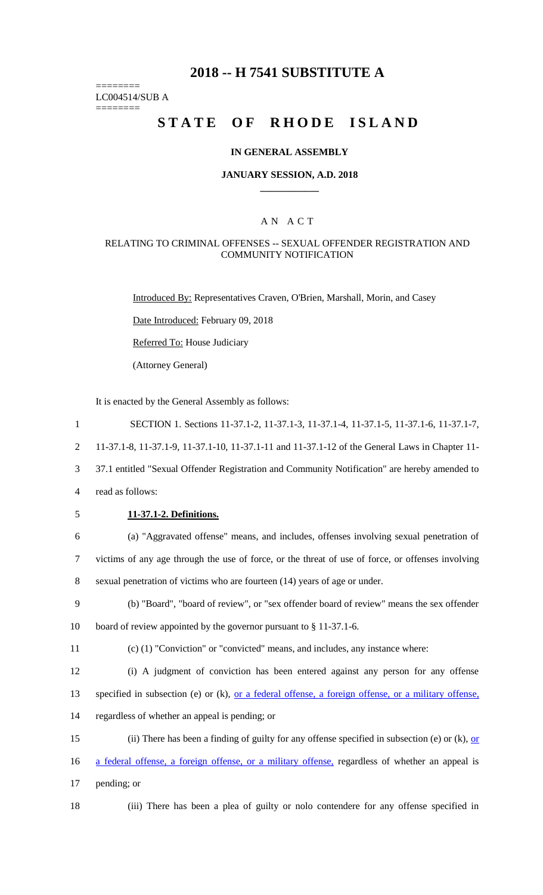## **2018 -- H 7541 SUBSTITUTE A**

======== LC004514/SUB A ========

## **STATE OF RHODE ISLAND**

## **IN GENERAL ASSEMBLY**

#### **JANUARY SESSION, A.D. 2018 \_\_\_\_\_\_\_\_\_\_\_\_**

## A N A C T

## RELATING TO CRIMINAL OFFENSES -- SEXUAL OFFENDER REGISTRATION AND COMMUNITY NOTIFICATION

Introduced By: Representatives Craven, O'Brien, Marshall, Morin, and Casey

Date Introduced: February 09, 2018

Referred To: House Judiciary

(Attorney General)

It is enacted by the General Assembly as follows:

| $\mathbf{1}$   | SECTION 1. Sections 11-37.1-2, 11-37.1-3, 11-37.1-4, 11-37.1-5, 11-37.1-6, 11-37.1-7,                       |
|----------------|-------------------------------------------------------------------------------------------------------------|
| $\overline{2}$ | 11-37.1-8, 11-37.1-9, 11-37.1-10, 11-37.1-11 and 11-37.1-12 of the General Laws in Chapter 11-              |
| 3              | 37.1 entitled "Sexual Offender Registration and Community Notification" are hereby amended to               |
| 4              | read as follows:                                                                                            |
| 5              | 11-37.1-2. Definitions.                                                                                     |
| 6              | (a) "Aggravated offense" means, and includes, offenses involving sexual penetration of                      |
| $\tau$         | victims of any age through the use of force, or the threat of use of force, or offenses involving           |
| $8\,$          | sexual penetration of victims who are fourteen (14) years of age or under.                                  |
| 9              | (b) "Board", "board of review", or "sex offender board of review" means the sex offender                    |
| 10             | board of review appointed by the governor pursuant to $\S 11-37.1-6$ .                                      |
| 11             | $(c)$ (1) "Conviction" or "convicted" means, and includes, any instance where:                              |
| 12             | (i) A judgment of conviction has been entered against any person for any offense                            |
| 13             | specified in subsection (e) or (k), <u>or a federal offense</u> , a foreign offense, or a military offense, |
| 14             | regardless of whether an appeal is pending; or                                                              |
| 15             | (ii) There has been a finding of guilty for any offense specified in subsection (e) or (k), or              |
| 16             | a federal offense, a foreign offense, or a military offense, regardless of whether an appeal is             |
| 17             | pending; or                                                                                                 |
| 18             | (iii) There has been a plea of guilty or nolo contendere for any offense specified in                       |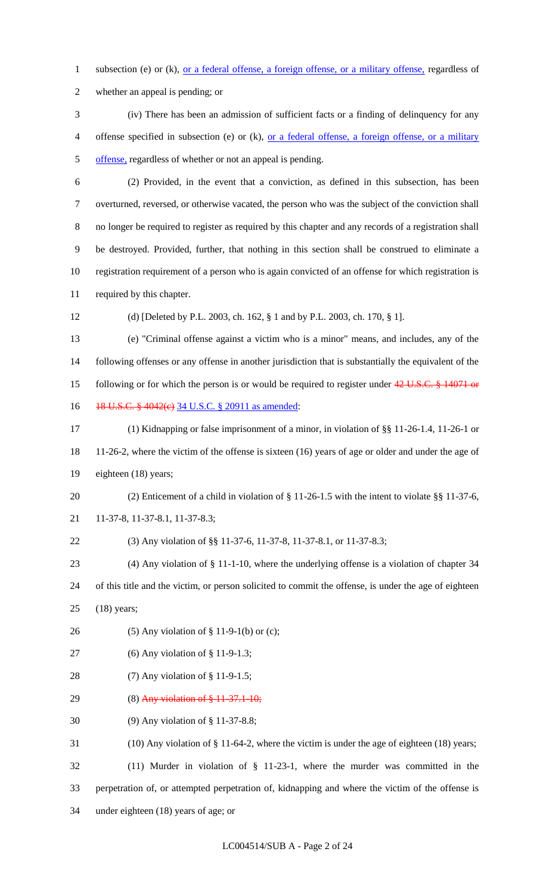1 subsection (e) or (k), <u>or a federal offense</u>, a foreign offense, or a military offense, regardless of

whether an appeal is pending; or

- (iv) There has been an admission of sufficient facts or a finding of delinquency for any offense specified in subsection (e) or (k), or a federal offense, a foreign offense, or a military offense, regardless of whether or not an appeal is pending.
- (2) Provided, in the event that a conviction, as defined in this subsection, has been overturned, reversed, or otherwise vacated, the person who was the subject of the conviction shall no longer be required to register as required by this chapter and any records of a registration shall be destroyed. Provided, further, that nothing in this section shall be construed to eliminate a registration requirement of a person who is again convicted of an offense for which registration is required by this chapter.

(d) [Deleted by P.L. 2003, ch. 162, § 1 and by P.L. 2003, ch. 170, § 1].

 (e) "Criminal offense against a victim who is a minor" means, and includes, any of the following offenses or any offense in another jurisdiction that is substantially the equivalent of the 15 following or for which the person is or would be required to register under 42 U.S.C. § 14071 or 16 18 U.S.C. § 4042(e) 34 U.S.C. § 20911 as amended:

 (1) Kidnapping or false imprisonment of a minor, in violation of §§ 11-26-1.4, 11-26-1 or 11-26-2, where the victim of the offense is sixteen (16) years of age or older and under the age of eighteen (18) years;

 (2) Enticement of a child in violation of § 11-26-1.5 with the intent to violate §§ 11-37-6, 11-37-8, 11-37-8.1, 11-37-8.3;

(3) Any violation of §§ 11-37-6, 11-37-8, 11-37-8.1, or 11-37-8.3;

(4) Any violation of § 11-1-10, where the underlying offense is a violation of chapter 34

 of this title and the victim, or person solicited to commit the offense, is under the age of eighteen (18) years;

- (5) Any violation of § 11-9-1(b) or (c);
- (6) Any violation of § 11-9-1.3;
- (7) Any violation of § 11-9-1.5;
- 29 (8) Any violation of  $$11-37.1-10;$
- (9) Any violation of § 11-37-8.8;

(10) Any violation of § 11-64-2, where the victim is under the age of eighteen (18) years;

 (11) Murder in violation of § 11-23-1, where the murder was committed in the perpetration of, or attempted perpetration of, kidnapping and where the victim of the offense is under eighteen (18) years of age; or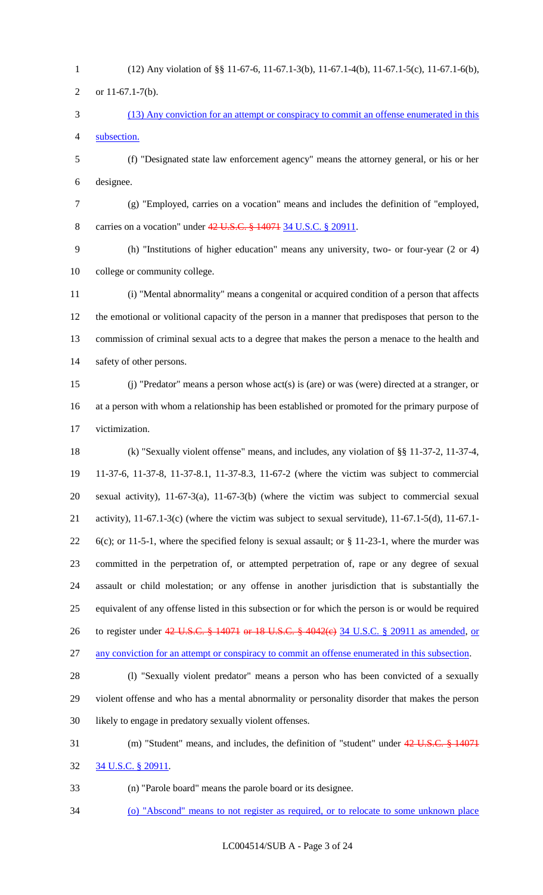- (12) Any violation of §§ 11-67-6, 11-67.1-3(b), 11-67.1-4(b), 11-67.1-5(c), 11-67.1-6(b),
- or 11-67.1-7(b).
- (13) Any conviction for an attempt or conspiracy to commit an offense enumerated in this subsection.
- (f) "Designated state law enforcement agency" means the attorney general, or his or her designee.
- 

 (g) "Employed, carries on a vocation" means and includes the definition of "employed, carries on a vocation" under 42 U.S.C. § 14071 34 U.S.C. § 20911.

- 
- (h) "Institutions of higher education" means any university, two- or four-year (2 or 4) college or community college.
- (i) "Mental abnormality" means a congenital or acquired condition of a person that affects the emotional or volitional capacity of the person in a manner that predisposes that person to the commission of criminal sexual acts to a degree that makes the person a menace to the health and safety of other persons.
- (j) "Predator" means a person whose act(s) is (are) or was (were) directed at a stranger, or at a person with whom a relationship has been established or promoted for the primary purpose of victimization.
- (k) "Sexually violent offense" means, and includes, any violation of §§ 11-37-2, 11-37-4, 11-37-6, 11-37-8, 11-37-8.1, 11-37-8.3, 11-67-2 (where the victim was subject to commercial sexual activity), 11-67-3(a), 11-67-3(b) (where the victim was subject to commercial sexual activity), 11-67.1-3(c) (where the victim was subject to sexual servitude), 11-67.1-5(d), 11-67.1- 6(c); or 11-5-1, where the specified felony is sexual assault; or § 11-23-1, where the murder was committed in the perpetration of, or attempted perpetration of, rape or any degree of sexual assault or child molestation; or any offense in another jurisdiction that is substantially the equivalent of any offense listed in this subsection or for which the person is or would be required 26 to register under 42 U.S.C. § 14071 or 18 U.S.C. § 4042(e) 34 U.S.C. § 20911 as amended, or
- any conviction for an attempt or conspiracy to commit an offense enumerated in this subsection.
- (l) "Sexually violent predator" means a person who has been convicted of a sexually violent offense and who has a mental abnormality or personality disorder that makes the person likely to engage in predatory sexually violent offenses.
- (m) "Student" means, and includes, the definition of "student" under 42 U.S.C. § 14071 34 U.S.C. § 20911.
- (n) "Parole board" means the parole board or its designee.
- (o) "Abscond" means to not register as required, or to relocate to some unknown place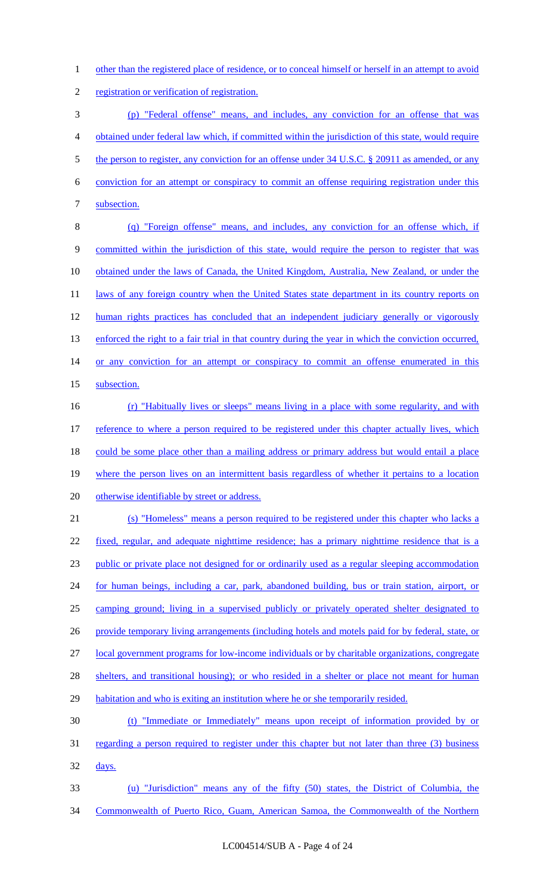other than the registered place of residence, or to conceal himself or herself in an attempt to avoid

registration or verification of registration.

 (p) "Federal offense" means, and includes, any conviction for an offense that was obtained under federal law which, if committed within the jurisdiction of this state, would require 5 the person to register, any conviction for an offense under 34 U.S.C. § 20911 as amended, or any conviction for an attempt or conspiracy to commit an offense requiring registration under this subsection.

 (q) "Foreign offense" means, and includes, any conviction for an offense which, if committed within the jurisdiction of this state, would require the person to register that was 10 obtained under the laws of Canada, the United Kingdom, Australia, New Zealand, or under the 11 laws of any foreign country when the United States state department in its country reports on human rights practices has concluded that an independent judiciary generally or vigorously 13 enforced the right to a fair trial in that country during the year in which the conviction occurred, 14 or any conviction for an attempt or conspiracy to commit an offense enumerated in this 15 subsection.

 (r) "Habitually lives or sleeps" means living in a place with some regularity, and with 17 reference to where a person required to be registered under this chapter actually lives, which 18 could be some place other than a mailing address or primary address but would entail a place where the person lives on an intermittent basis regardless of whether it pertains to a location otherwise identifiable by street or address.

 (s) "Homeless" means a person required to be registered under this chapter who lacks a fixed, regular, and adequate nighttime residence; has a primary nighttime residence that is a public or private place not designed for or ordinarily used as a regular sleeping accommodation for human beings, including a car, park, abandoned building, bus or train station, airport, or camping ground; living in a supervised publicly or privately operated shelter designated to 26 provide temporary living arrangements (including hotels and motels paid for by federal, state, or local government programs for low-income individuals or by charitable organizations, congregate 28 shelters, and transitional housing); or who resided in a shelter or place not meant for human habitation and who is exiting an institution where he or she temporarily resided. (t) "Immediate or Immediately" means upon receipt of information provided by or

 regarding a person required to register under this chapter but not later than three (3) business days.

 (u) "Jurisdiction" means any of the fifty (50) states, the District of Columbia, the Commonwealth of Puerto Rico, Guam, American Samoa, the Commonwealth of the Northern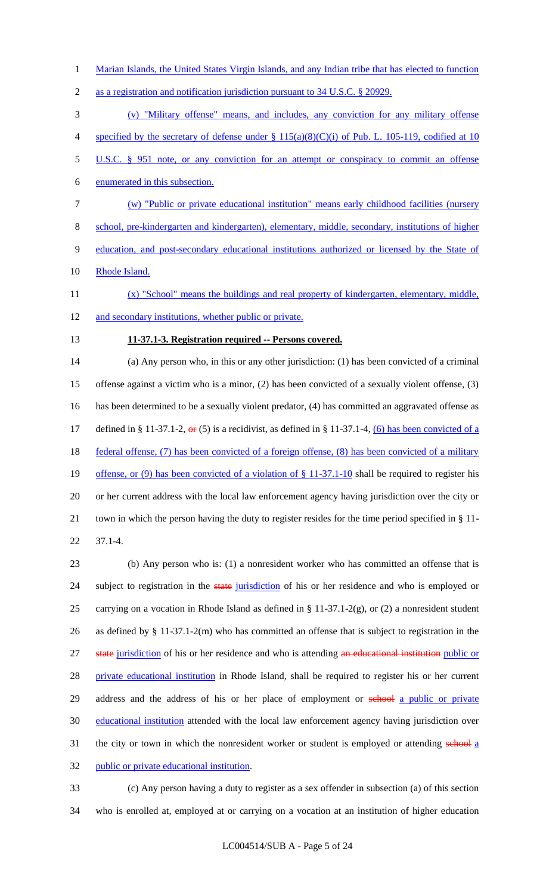1 Marian Islands, the United States Virgin Islands, and any Indian tribe that has elected to function

2 as a registration and notification jurisdiction pursuant to 34 U.S.C. § 20929.

3 (v) "Military offense" means, and includes, any conviction for any military offense 4 specified by the secretary of defense under § 115(a)(8)(C)(i) of Pub. L. 105-119, codified at 10

5 U.S.C. § 951 note, or any conviction for an attempt or conspiracy to commit an offense

6 enumerated in this subsection.

7 (w) "Public or private educational institution" means early childhood facilities (nursery

8 school, pre-kindergarten and kindergarten), elementary, middle, secondary, institutions of higher

9 education, and post-secondary educational institutions authorized or licensed by the State of

10 Rhode Island.

11 (x) "School" means the buildings and real property of kindergarten, elementary, middle,

12 and secondary institutions, whether public or private.

## 13 **11-37.1-3. Registration required -- Persons covered.**

14 (a) Any person who, in this or any other jurisdiction: (1) has been convicted of a criminal 15 offense against a victim who is a minor, (2) has been convicted of a sexually violent offense, (3) 16 has been determined to be a sexually violent predator, (4) has committed an aggravated offense as 17 defined in § 11-37.1-2,  $\Theta$  (5) is a recidivist, as defined in § 11-37.1-4, (6) has been convicted of a 18 federal offense, (7) has been convicted of a foreign offense, (8) has been convicted of a military 19 offense, or (9) has been convicted of a violation of § 11-37.1-10 shall be required to register his 20 or her current address with the local law enforcement agency having jurisdiction over the city or 21 town in which the person having the duty to register resides for the time period specified in § 11- 22 37.1-4.

23 (b) Any person who is: (1) a nonresident worker who has committed an offense that is 24 subject to registration in the state jurisdiction of his or her residence and who is employed or 25 carrying on a vocation in Rhode Island as defined in § 11-37.1-2(g), or (2) a nonresident student 26 as defined by § 11-37.1-2(m) who has committed an offense that is subject to registration in the 27 state jurisdiction of his or her residence and who is attending an educational institution public or 28 private educational institution in Rhode Island, shall be required to register his or her current 29 address and the address of his or her place of employment or school a public or private 30 educational institution attended with the local law enforcement agency having jurisdiction over 31 the city or town in which the nonresident worker or student is employed or attending school a 32 public or private educational institution.

33 (c) Any person having a duty to register as a sex offender in subsection (a) of this section 34 who is enrolled at, employed at or carrying on a vocation at an institution of higher education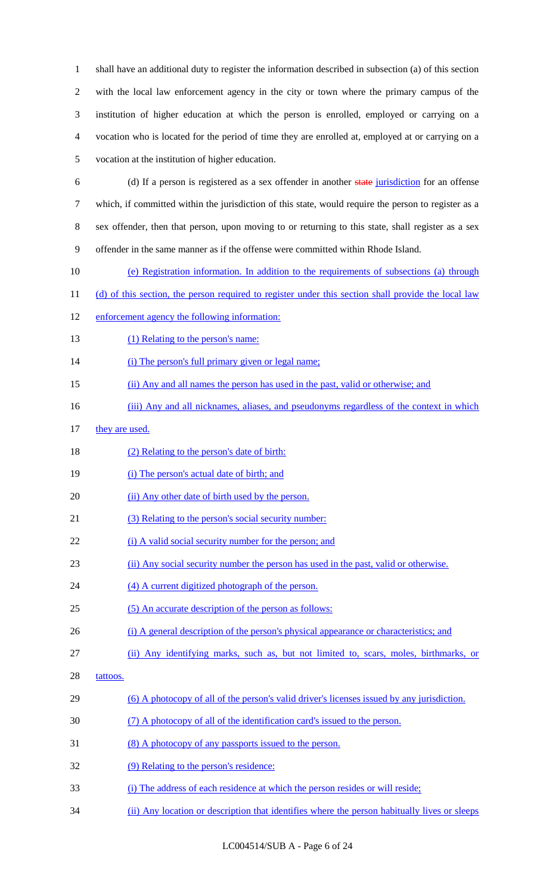shall have an additional duty to register the information described in subsection (a) of this section with the local law enforcement agency in the city or town where the primary campus of the institution of higher education at which the person is enrolled, employed or carrying on a vocation who is located for the period of time they are enrolled at, employed at or carrying on a vocation at the institution of higher education.

- (d) If a person is registered as a sex offender in another state jurisdiction for an offense which, if committed within the jurisdiction of this state, would require the person to register as a sex offender, then that person, upon moving to or returning to this state, shall register as a sex offender in the same manner as if the offense were committed within Rhode Island.
- (e) Registration information. In addition to the requirements of subsections (a) through
- 11 (d) of this section, the person required to register under this section shall provide the local law
- enforcement agency the following information:
- 13 (1) Relating to the person's name:

14 (i) The person's full primary given or legal name;

- (ii) Any and all names the person has used in the past, valid or otherwise; and
- 16 (iii) Any and all nicknames, aliases, and pseudonyms regardless of the context in which
- 17 they are used.
- 18 (2) Relating to the person's date of birth:
- (i) The person's actual date of birth; and
- 20 (ii) Any other date of birth used by the person.
- (3) Relating to the person's social security number:
- 22 (i) A valid social security number for the person; and
- (ii) Any social security number the person has used in the past, valid or otherwise.
- 24 (4) A current digitized photograph of the person.
- (5) An accurate description of the person as follows:
- 26 (i) A general description of the person's physical appearance or characteristics; and
- (ii) Any identifying marks, such as, but not limited to, scars, moles, birthmarks, or
- 28 tattoos.
- (6) A photocopy of all of the person's valid driver's licenses issued by any jurisdiction.
- (7) A photocopy of all of the identification card's issued to the person.
- (8) A photocopy of any passports issued to the person.
- (9) Relating to the person's residence:
- (i) The address of each residence at which the person resides or will reside;
- 34 (ii) Any location or description that identifies where the person habitually lives or sleeps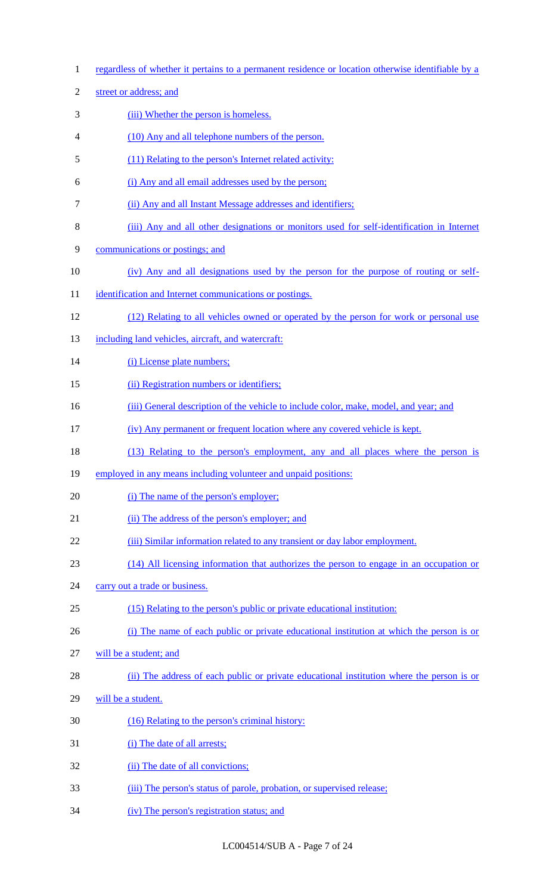| $\mathbf{1}$   | regardless of whether it pertains to a permanent residence or location otherwise identifiable by a |
|----------------|----------------------------------------------------------------------------------------------------|
| $\overline{2}$ | street or address; and                                                                             |
| 3              | (iii) Whether the person is homeless.                                                              |
| $\overline{4}$ | (10) Any and all telephone numbers of the person.                                                  |
| 5              | (11) Relating to the person's Internet related activity:                                           |
| 6              | (i) Any and all email addresses used by the person;                                                |
| $\overline{7}$ | (ii) Any and all Instant Message addresses and identifiers;                                        |
| 8              | (iii) Any and all other designations or monitors used for self-identification in Internet          |
| 9              | communications or postings; and                                                                    |
| 10             | (iv) Any and all designations used by the person for the purpose of routing or self-               |
| 11             | identification and Internet communications or postings.                                            |
| 12             | (12) Relating to all vehicles owned or operated by the person for work or personal use             |
| 13             | including land vehicles, aircraft, and watercraft:                                                 |
| 14             | (i) License plate numbers;                                                                         |
| 15             | (ii) Registration numbers or identifiers;                                                          |
| 16             | (iii) General description of the vehicle to include color, make, model, and year; and              |
| 17             | (iv) Any permanent or frequent location where any covered vehicle is kept.                         |
| 18             | (13) Relating to the person's employment, any and all places where the person is                   |
| 19             | employed in any means including volunteer and unpaid positions:                                    |
| 20             | (i) The name of the person's employer;                                                             |
| 21             | (ii) The address of the person's employer; and                                                     |
| 22             | (iii) Similar information related to any transient or day labor employment.                        |
| 23             | (14) All licensing information that authorizes the person to engage in an occupation or            |
| 24             | carry out a trade or business.                                                                     |
| 25             | (15) Relating to the person's public or private educational institution:                           |
| 26             | (i) The name of each public or private educational institution at which the person is or           |
| 27             | will be a student; and                                                                             |
| 28             | (ii) The address of each public or private educational institution where the person is or          |
| 29             | will be a student.                                                                                 |
| 30             | (16) Relating to the person's criminal history:                                                    |
| 31             | (i) The date of all arrests;                                                                       |
| 32             | (ii) The date of all convictions;                                                                  |
| 33             | (iii) The person's status of parole, probation, or supervised release;                             |
| 34             | (iv) The person's registration status; and                                                         |

LC004514/SUB A - Page 7 of 24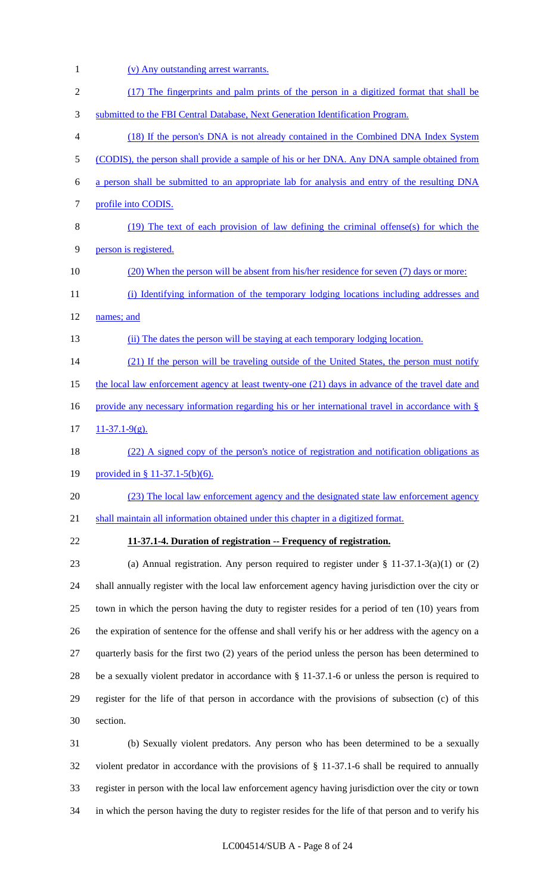| $\mathbf{1}$     | (v) Any outstanding arrest warrants.                                                                  |
|------------------|-------------------------------------------------------------------------------------------------------|
| $\mathfrak{2}$   | (17) The fingerprints and palm prints of the person in a digitized format that shall be               |
| 3                | submitted to the FBI Central Database, Next Generation Identification Program.                        |
| 4                | (18) If the person's DNA is not already contained in the Combined DNA Index System                    |
| 5                | (CODIS), the person shall provide a sample of his or her DNA. Any DNA sample obtained from            |
| 6                | a person shall be submitted to an appropriate lab for analysis and entry of the resulting DNA         |
| $\boldsymbol{7}$ | profile into CODIS.                                                                                   |
| $8\,$            | (19) The text of each provision of law defining the criminal offense(s) for which the                 |
| 9                | person is registered.                                                                                 |
| 10               | (20) When the person will be absent from his/her residence for seven (7) days or more:                |
| 11               | (i) Identifying information of the temporary lodging locations including addresses and                |
| 12               | names; and                                                                                            |
| 13               | (ii) The dates the person will be staying at each temporary lodging location.                         |
| 14               | (21) If the person will be traveling outside of the United States, the person must notify             |
| 15               | the local law enforcement agency at least twenty-one (21) days in advance of the travel date and      |
| 16               | provide any necessary information regarding his or her international travel in accordance with $\S$   |
| 17               | $11-37.1-9(g)$ .                                                                                      |
| 18               | (22) A signed copy of the person's notice of registration and notification obligations as             |
| 19               | provided in § 11-37.1-5(b)(6).                                                                        |
| 20               | (23) The local law enforcement agency and the designated state law enforcement agency                 |
| 21               | shall maintain all information obtained under this chapter in a digitized format.                     |
| 22               | 11-37.1-4. Duration of registration -- Frequency of registration.                                     |
| 23               | (a) Annual registration. Any person required to register under $\S 11-37.1-3(a)(1)$ or (2)            |
| 24               | shall annually register with the local law enforcement agency having jurisdiction over the city or    |
| 25               | town in which the person having the duty to register resides for a period of ten (10) years from      |
| 26               | the expiration of sentence for the offense and shall verify his or her address with the agency on a   |
| 27               | quarterly basis for the first two (2) years of the period unless the person has been determined to    |
| 28               | be a sexually violent predator in accordance with $\S 11-37.1-6$ or unless the person is required to  |
| 29               | register for the life of that person in accordance with the provisions of subsection (c) of this      |
| 30               | section.                                                                                              |
| 31               | (b) Sexually violent predators. Any person who has been determined to be a sexually                   |
| 32               | violent predator in accordance with the provisions of $\S$ 11-37.1-6 shall be required to annually    |
| 33               | register in person with the local law enforcement agency having jurisdiction over the city or town    |
| 34               | in which the person having the duty to register resides for the life of that person and to verify his |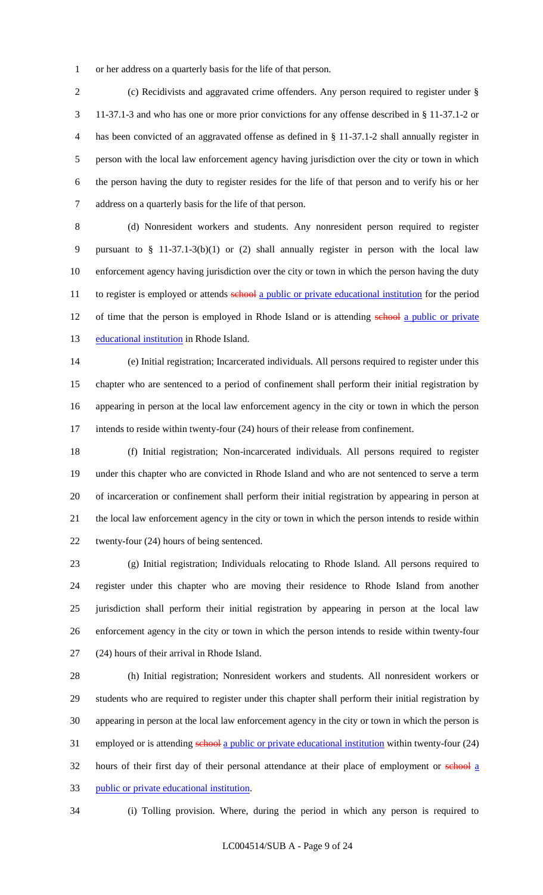or her address on a quarterly basis for the life of that person.

2 (c) Recidivists and aggravated crime offenders. Any person required to register under § 11-37.1-3 and who has one or more prior convictions for any offense described in § 11-37.1-2 or has been convicted of an aggravated offense as defined in § 11-37.1-2 shall annually register in person with the local law enforcement agency having jurisdiction over the city or town in which the person having the duty to register resides for the life of that person and to verify his or her address on a quarterly basis for the life of that person.

 (d) Nonresident workers and students. Any nonresident person required to register pursuant to § 11-37.1-3(b)(1) or (2) shall annually register in person with the local law enforcement agency having jurisdiction over the city or town in which the person having the duty 11 to register is employed or attends school a public or private educational institution for the period 12 of time that the person is employed in Rhode Island or is attending school a public or private 13 educational institution in Rhode Island.

 (e) Initial registration; Incarcerated individuals. All persons required to register under this chapter who are sentenced to a period of confinement shall perform their initial registration by appearing in person at the local law enforcement agency in the city or town in which the person intends to reside within twenty-four (24) hours of their release from confinement.

 (f) Initial registration; Non-incarcerated individuals. All persons required to register under this chapter who are convicted in Rhode Island and who are not sentenced to serve a term of incarceration or confinement shall perform their initial registration by appearing in person at the local law enforcement agency in the city or town in which the person intends to reside within twenty-four (24) hours of being sentenced.

 (g) Initial registration; Individuals relocating to Rhode Island. All persons required to register under this chapter who are moving their residence to Rhode Island from another jurisdiction shall perform their initial registration by appearing in person at the local law enforcement agency in the city or town in which the person intends to reside within twenty-four (24) hours of their arrival in Rhode Island.

 (h) Initial registration; Nonresident workers and students. All nonresident workers or students who are required to register under this chapter shall perform their initial registration by appearing in person at the local law enforcement agency in the city or town in which the person is 31 employed or is attending school a public or private educational institution within twenty-four (24) 32 hours of their first day of their personal attendance at their place of employment or school a public or private educational institution.

(i) Tolling provision. Where, during the period in which any person is required to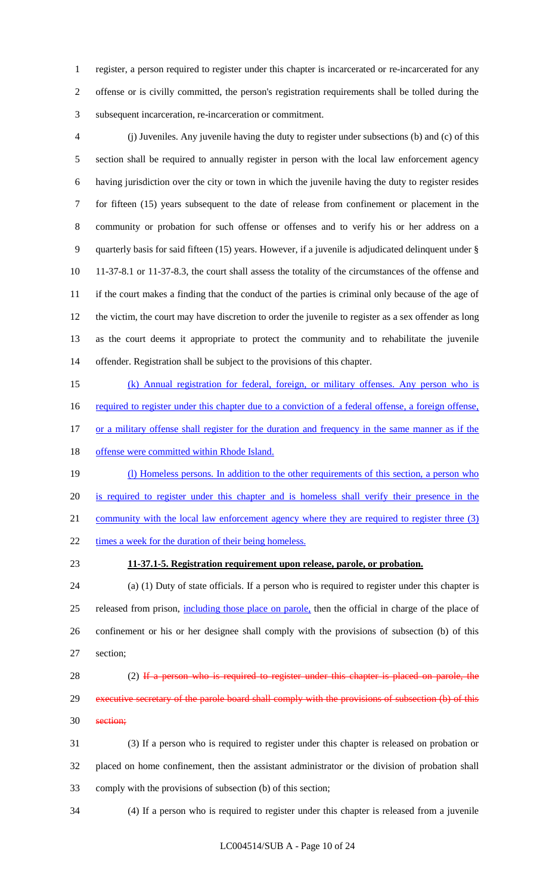register, a person required to register under this chapter is incarcerated or re-incarcerated for any offense or is civilly committed, the person's registration requirements shall be tolled during the subsequent incarceration, re-incarceration or commitment.

 (j) Juveniles. Any juvenile having the duty to register under subsections (b) and (c) of this section shall be required to annually register in person with the local law enforcement agency having jurisdiction over the city or town in which the juvenile having the duty to register resides for fifteen (15) years subsequent to the date of release from confinement or placement in the community or probation for such offense or offenses and to verify his or her address on a quarterly basis for said fifteen (15) years. However, if a juvenile is adjudicated delinquent under § 11-37-8.1 or 11-37-8.3, the court shall assess the totality of the circumstances of the offense and if the court makes a finding that the conduct of the parties is criminal only because of the age of the victim, the court may have discretion to order the juvenile to register as a sex offender as long as the court deems it appropriate to protect the community and to rehabilitate the juvenile offender. Registration shall be subject to the provisions of this chapter.

 (k) Annual registration for federal, foreign, or military offenses. Any person who is 16 required to register under this chapter due to a conviction of a federal offense, a foreign offense, 17 or a military offense shall register for the duration and frequency in the same manner as if the 18 offense were committed within Rhode Island.

19 (I) Homeless persons. In addition to the other requirements of this section, a person who is required to register under this chapter and is homeless shall verify their presence in the 21 community with the local law enforcement agency where they are required to register three (3) times a week for the duration of their being homeless.

#### **11-37.1-5. Registration requirement upon release, parole, or probation.**

 (a) (1) Duty of state officials. If a person who is required to register under this chapter is 25 released from prison, including those place on parole, then the official in charge of the place of confinement or his or her designee shall comply with the provisions of subsection (b) of this section;

28 (2) If a person who is required to register under this chapter is placed on parole, the 29 executive secretary of the parole board shall comply with the provisions of subsection (b) of this section;

 (3) If a person who is required to register under this chapter is released on probation or placed on home confinement, then the assistant administrator or the division of probation shall comply with the provisions of subsection (b) of this section;

(4) If a person who is required to register under this chapter is released from a juvenile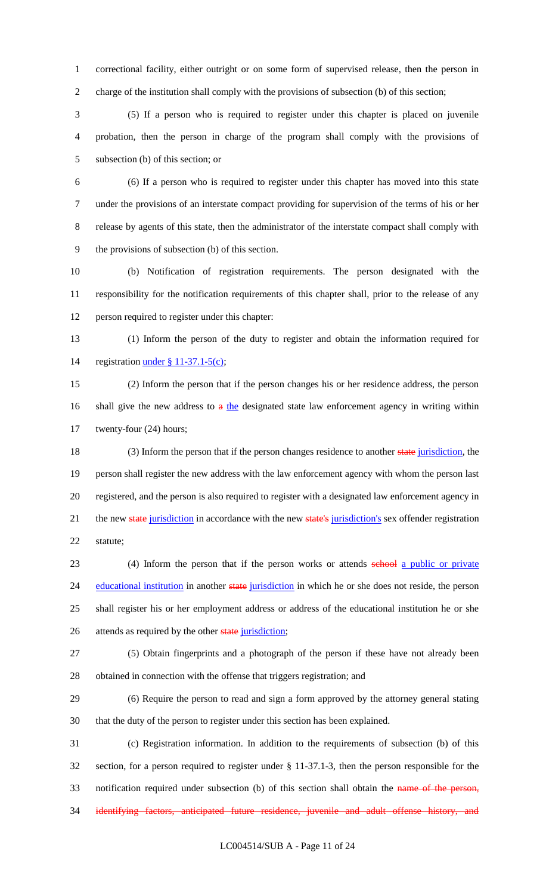correctional facility, either outright or on some form of supervised release, then the person in charge of the institution shall comply with the provisions of subsection (b) of this section;

 (5) If a person who is required to register under this chapter is placed on juvenile probation, then the person in charge of the program shall comply with the provisions of subsection (b) of this section; or

 (6) If a person who is required to register under this chapter has moved into this state under the provisions of an interstate compact providing for supervision of the terms of his or her release by agents of this state, then the administrator of the interstate compact shall comply with the provisions of subsection (b) of this section.

 (b) Notification of registration requirements. The person designated with the responsibility for the notification requirements of this chapter shall, prior to the release of any person required to register under this chapter:

 (1) Inform the person of the duty to register and obtain the information required for 14 registration <u>under § 11-37.1-5(c)</u>;

 (2) Inform the person that if the person changes his or her residence address, the person 16 shall give the new address to  $a$  the designated state law enforcement agency in writing within twenty-four (24) hours;

18 (3) Inform the person that if the person changes residence to another state jurisdiction, the person shall register the new address with the law enforcement agency with whom the person last registered, and the person is also required to register with a designated law enforcement agency in 21 the new state jurisdiction in accordance with the new state's jurisdiction's sex offender registration statute;

23 (4) Inform the person that if the person works or attends school a public or private 24 educational institution in another state jurisdiction in which he or she does not reside, the person shall register his or her employment address or address of the educational institution he or she 26 attends as required by the other state jurisdiction;

 (5) Obtain fingerprints and a photograph of the person if these have not already been obtained in connection with the offense that triggers registration; and

 (6) Require the person to read and sign a form approved by the attorney general stating that the duty of the person to register under this section has been explained.

 (c) Registration information. In addition to the requirements of subsection (b) of this section, for a person required to register under § 11-37.1-3, then the person responsible for the 33 notification required under subsection (b) of this section shall obtain the name of the person, 34 identifying factors, anticipated future residence, juvenile and adult offense history, and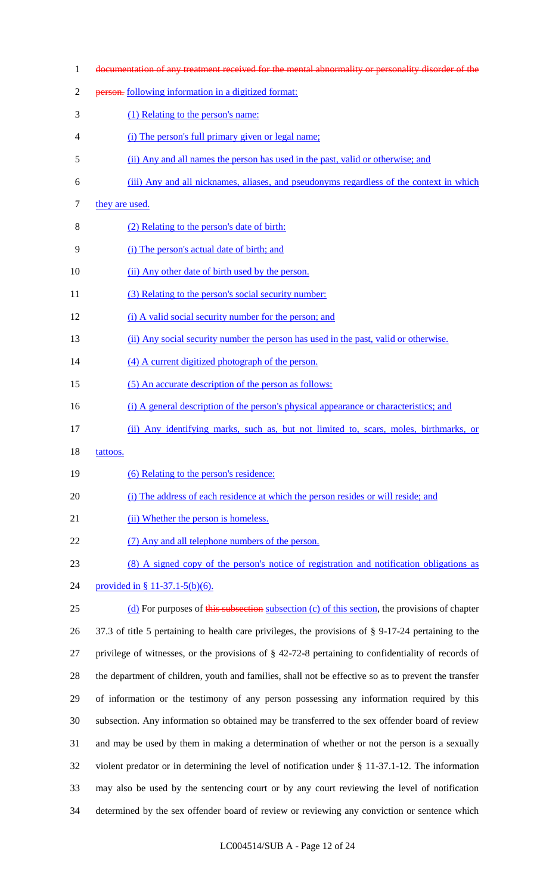- documentation of any treatment received for the mental abnormality or personality disorder of the person. following information in a digitized format: (1) Relating to the person's name: (i) The person's full primary given or legal name; (ii) Any and all names the person has used in the past, valid or otherwise; and (iii) Any and all nicknames, aliases, and pseudonyms regardless of the context in which 7 they are used. (2) Relating to the person's date of birth: (i) The person's actual date of birth; and (ii) Any other date of birth used by the person. 11 (3) Relating to the person's social security number: (i) A valid social security number for the person; and (ii) Any social security number the person has used in the past, valid or otherwise. 14 (4) A current digitized photograph of the person. 15 (5) An accurate description of the person as follows: 16 (i) A general description of the person's physical appearance or characteristics; and (ii) Any identifying marks, such as, but not limited to, scars, moles, birthmarks, or 18 tattoos. (6) Relating to the person's residence: (i) The address of each residence at which the person resides or will reside; and 21 (ii) Whether the person is homeless. 22 (7) Any and all telephone numbers of the person. (8) A signed copy of the person's notice of registration and notification obligations as provided in § 11-37.1-5(b)(6). 25 (d) For purposes of this subsection subsection (c) of this section, the provisions of chapter 37.3 of title 5 pertaining to health care privileges, the provisions of § 9-17-24 pertaining to the privilege of witnesses, or the provisions of § 42-72-8 pertaining to confidentiality of records of the department of children, youth and families, shall not be effective so as to prevent the transfer of information or the testimony of any person possessing any information required by this subsection. Any information so obtained may be transferred to the sex offender board of review and may be used by them in making a determination of whether or not the person is a sexually violent predator or in determining the level of notification under § 11-37.1-12. The information
- determined by the sex offender board of review or reviewing any conviction or sentence which

may also be used by the sentencing court or by any court reviewing the level of notification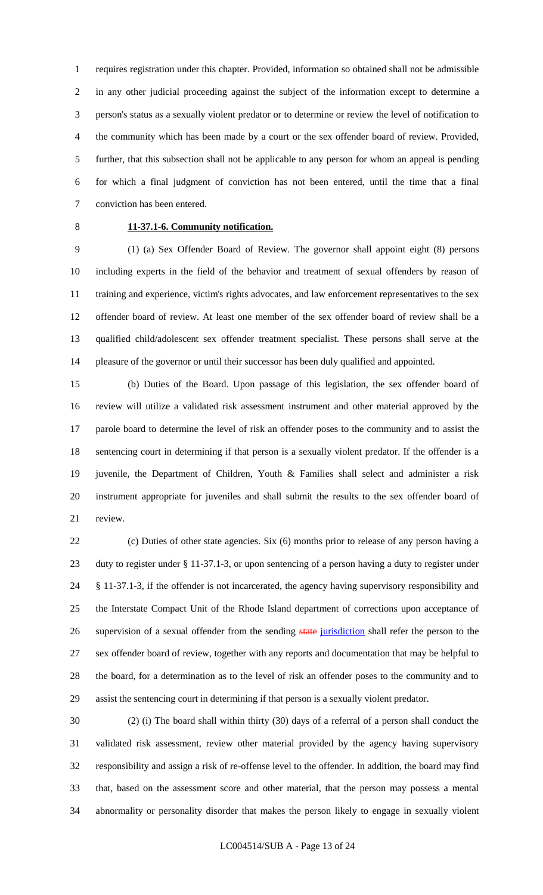requires registration under this chapter. Provided, information so obtained shall not be admissible in any other judicial proceeding against the subject of the information except to determine a person's status as a sexually violent predator or to determine or review the level of notification to the community which has been made by a court or the sex offender board of review. Provided, further, that this subsection shall not be applicable to any person for whom an appeal is pending for which a final judgment of conviction has not been entered, until the time that a final conviction has been entered.

## **11-37.1-6. Community notification.**

 (1) (a) Sex Offender Board of Review. The governor shall appoint eight (8) persons including experts in the field of the behavior and treatment of sexual offenders by reason of training and experience, victim's rights advocates, and law enforcement representatives to the sex offender board of review. At least one member of the sex offender board of review shall be a qualified child/adolescent sex offender treatment specialist. These persons shall serve at the pleasure of the governor or until their successor has been duly qualified and appointed.

 (b) Duties of the Board. Upon passage of this legislation, the sex offender board of review will utilize a validated risk assessment instrument and other material approved by the parole board to determine the level of risk an offender poses to the community and to assist the sentencing court in determining if that person is a sexually violent predator. If the offender is a juvenile, the Department of Children, Youth & Families shall select and administer a risk instrument appropriate for juveniles and shall submit the results to the sex offender board of review.

 (c) Duties of other state agencies. Six (6) months prior to release of any person having a duty to register under § 11-37.1-3, or upon sentencing of a person having a duty to register under § 11-37.1-3, if the offender is not incarcerated, the agency having supervisory responsibility and the Interstate Compact Unit of the Rhode Island department of corrections upon acceptance of 26 supervision of a sexual offender from the sending state jurisdiction shall refer the person to the sex offender board of review, together with any reports and documentation that may be helpful to the board, for a determination as to the level of risk an offender poses to the community and to assist the sentencing court in determining if that person is a sexually violent predator.

 (2) (i) The board shall within thirty (30) days of a referral of a person shall conduct the validated risk assessment, review other material provided by the agency having supervisory responsibility and assign a risk of re-offense level to the offender. In addition, the board may find that, based on the assessment score and other material, that the person may possess a mental abnormality or personality disorder that makes the person likely to engage in sexually violent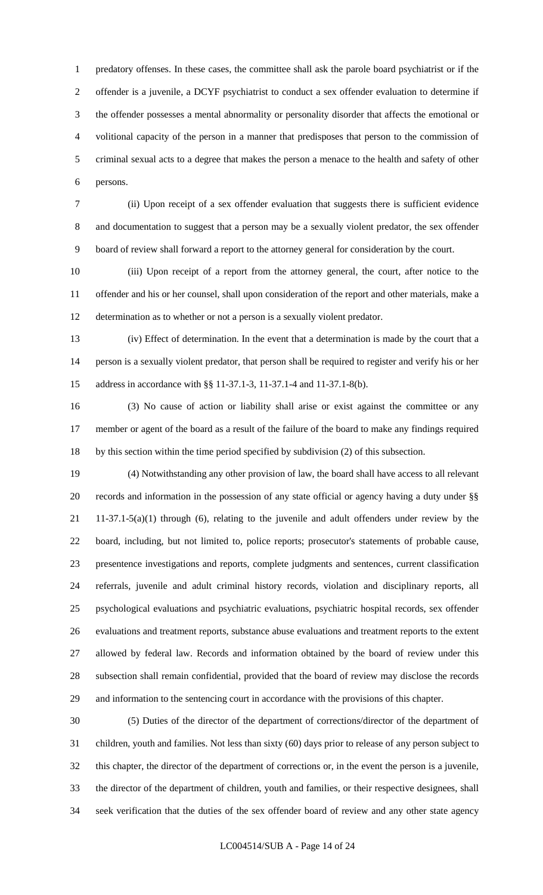predatory offenses. In these cases, the committee shall ask the parole board psychiatrist or if the offender is a juvenile, a DCYF psychiatrist to conduct a sex offender evaluation to determine if the offender possesses a mental abnormality or personality disorder that affects the emotional or volitional capacity of the person in a manner that predisposes that person to the commission of criminal sexual acts to a degree that makes the person a menace to the health and safety of other persons.

 (ii) Upon receipt of a sex offender evaluation that suggests there is sufficient evidence and documentation to suggest that a person may be a sexually violent predator, the sex offender board of review shall forward a report to the attorney general for consideration by the court.

 (iii) Upon receipt of a report from the attorney general, the court, after notice to the offender and his or her counsel, shall upon consideration of the report and other materials, make a determination as to whether or not a person is a sexually violent predator.

 (iv) Effect of determination. In the event that a determination is made by the court that a person is a sexually violent predator, that person shall be required to register and verify his or her address in accordance with §§ 11-37.1-3, 11-37.1-4 and 11-37.1-8(b).

 (3) No cause of action or liability shall arise or exist against the committee or any member or agent of the board as a result of the failure of the board to make any findings required by this section within the time period specified by subdivision (2) of this subsection.

 (4) Notwithstanding any other provision of law, the board shall have access to all relevant records and information in the possession of any state official or agency having a duty under §§ 11-37.1-5(a)(1) through (6), relating to the juvenile and adult offenders under review by the board, including, but not limited to, police reports; prosecutor's statements of probable cause, presentence investigations and reports, complete judgments and sentences, current classification referrals, juvenile and adult criminal history records, violation and disciplinary reports, all psychological evaluations and psychiatric evaluations, psychiatric hospital records, sex offender evaluations and treatment reports, substance abuse evaluations and treatment reports to the extent allowed by federal law. Records and information obtained by the board of review under this subsection shall remain confidential, provided that the board of review may disclose the records and information to the sentencing court in accordance with the provisions of this chapter.

 (5) Duties of the director of the department of corrections/director of the department of children, youth and families. Not less than sixty (60) days prior to release of any person subject to this chapter, the director of the department of corrections or, in the event the person is a juvenile, the director of the department of children, youth and families, or their respective designees, shall seek verification that the duties of the sex offender board of review and any other state agency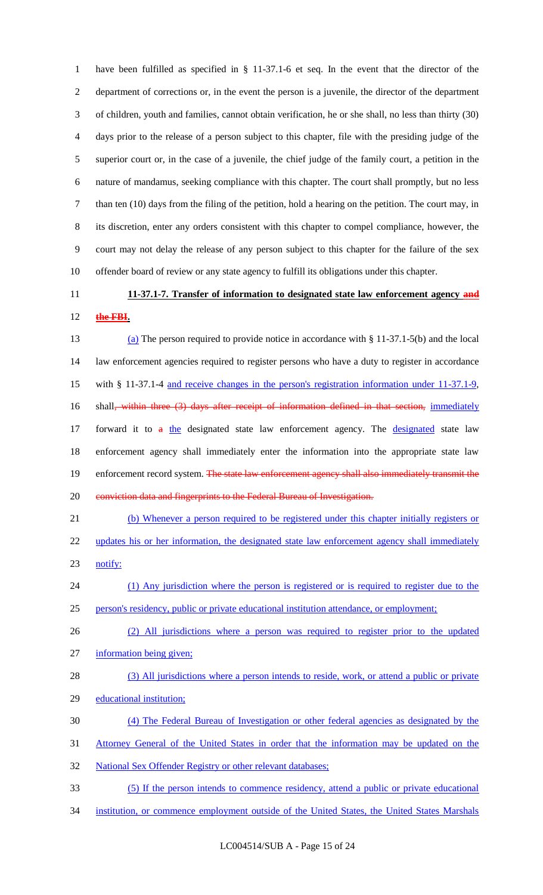have been fulfilled as specified in § 11-37.1-6 et seq. In the event that the director of the department of corrections or, in the event the person is a juvenile, the director of the department of children, youth and families, cannot obtain verification, he or she shall, no less than thirty (30) days prior to the release of a person subject to this chapter, file with the presiding judge of the superior court or, in the case of a juvenile, the chief judge of the family court, a petition in the nature of mandamus, seeking compliance with this chapter. The court shall promptly, but no less than ten (10) days from the filing of the petition, hold a hearing on the petition. The court may, in its discretion, enter any orders consistent with this chapter to compel compliance, however, the court may not delay the release of any person subject to this chapter for the failure of the sex offender board of review or any state agency to fulfill its obligations under this chapter.

# **11-37.1-7. Transfer of information to designated state law enforcement agency and**

**the FBI.**

 (a) The person required to provide notice in accordance with § 11-37.1-5(b) and the local law enforcement agencies required to register persons who have a duty to register in accordance with § 11-37.1-4 and receive changes in the person's registration information under 11-37.1-9, 16 shall<del>, within three (3) days after receipt of information defined in that section, immediately</del> 17 forward it to a the designated state law enforcement agency. The designated state law enforcement agency shall immediately enter the information into the appropriate state law 19 enforcement record system. The state law enforcement agency shall also immediately transmit the 20 conviction data and fingerprints to the Federal Bureau of Investigation.

 (b) Whenever a person required to be registered under this chapter initially registers or 22 updates his or her information, the designated state law enforcement agency shall immediately notify:

(1) Any jurisdiction where the person is registered or is required to register due to the

person's residency, public or private educational institution attendance, or employment;

- (2) All jurisdictions where a person was required to register prior to the updated information being given;
- 28 (3) All jurisdictions where a person intends to reside, work, or attend a public or private educational institution;
- (4) The Federal Bureau of Investigation or other federal agencies as designated by the
- Attorney General of the United States in order that the information may be updated on the
- 32 National Sex Offender Registry or other relevant databases;
- (5) If the person intends to commence residency, attend a public or private educational
- 34 institution, or commence employment outside of the United States, the United States Marshals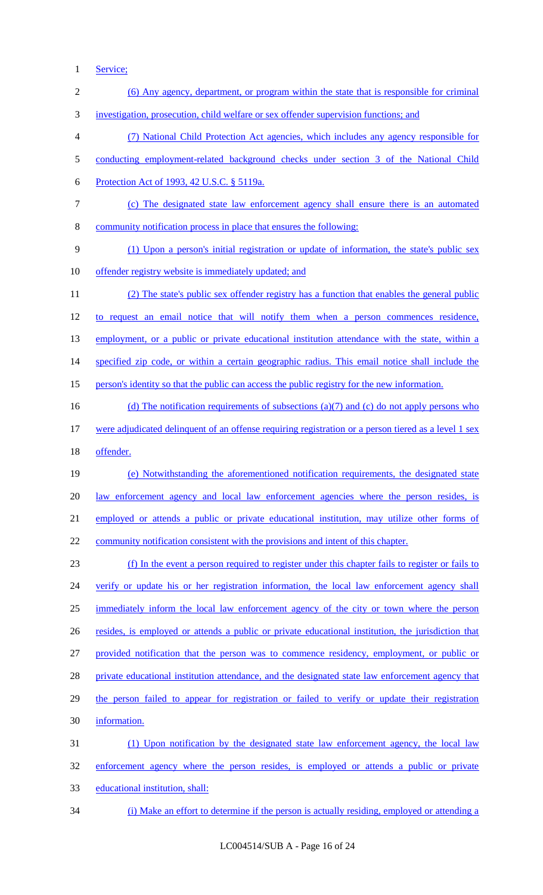1 Service;

| $\sqrt{2}$     | (6) Any agency, department, or program within the state that is responsible for criminal             |
|----------------|------------------------------------------------------------------------------------------------------|
| 3              | investigation, prosecution, child welfare or sex offender supervision functions; and                 |
| $\overline{4}$ | (7) National Child Protection Act agencies, which includes any agency responsible for                |
| 5              | conducting employment-related background checks under section 3 of the National Child                |
| 6              | Protection Act of 1993, 42 U.S.C. § 5119a.                                                           |
| $\tau$         | (c) The designated state law enforcement agency shall ensure there is an automated                   |
| $8\,$          | community notification process in place that ensures the following:                                  |
| 9              | (1) Upon a person's initial registration or update of information, the state's public sex            |
| 10             | offender registry website is immediately updated; and                                                |
| 11             | (2) The state's public sex offender registry has a function that enables the general public          |
| 12             | to request an email notice that will notify them when a person commences residence,                  |
| 13             | employment, or a public or private educational institution attendance with the state, within a       |
| 14             | specified zip code, or within a certain geographic radius. This email notice shall include the       |
| 15             | person's identity so that the public can access the public registry for the new information.         |
| 16             | (d) The notification requirements of subsections (a)(7) and (c) do not apply persons who             |
| 17             | were adjudicated delinquent of an offense requiring registration or a person tiered as a level 1 sex |
| 18             | offender.                                                                                            |
| 19             | (e) Notwithstanding the aforementioned notification requirements, the designated state               |
| 20             | law enforcement agency and local law enforcement agencies where the person resides, is               |
| 21             | employed or attends a public or private educational institution, may utilize other forms of          |
| 22             | community notification consistent with the provisions and intent of this chapter.                    |
| 23             | (f) In the event a person required to register under this chapter fails to register or fails to      |
| 24             | verify or update his or her registration information, the local law enforcement agency shall         |
| 25             | immediately inform the local law enforcement agency of the city or town where the person             |
| 26             | resides, is employed or attends a public or private educational institution, the jurisdiction that   |
| 27             | provided notification that the person was to commence residency, employment, or public or            |
| 28             | private educational institution attendance, and the designated state law enforcement agency that     |
| 29             | the person failed to appear for registration or failed to verify or update their registration        |
| 30             | information.                                                                                         |
| 31             | (1) Upon notification by the designated state law enforcement agency, the local law                  |
| 32             | enforcement agency where the person resides, is employed or attends a public or private              |
| 33             | educational institution, shall:                                                                      |
| 34             | (i) Make an effort to determine if the person is actually residing, employed or attending a          |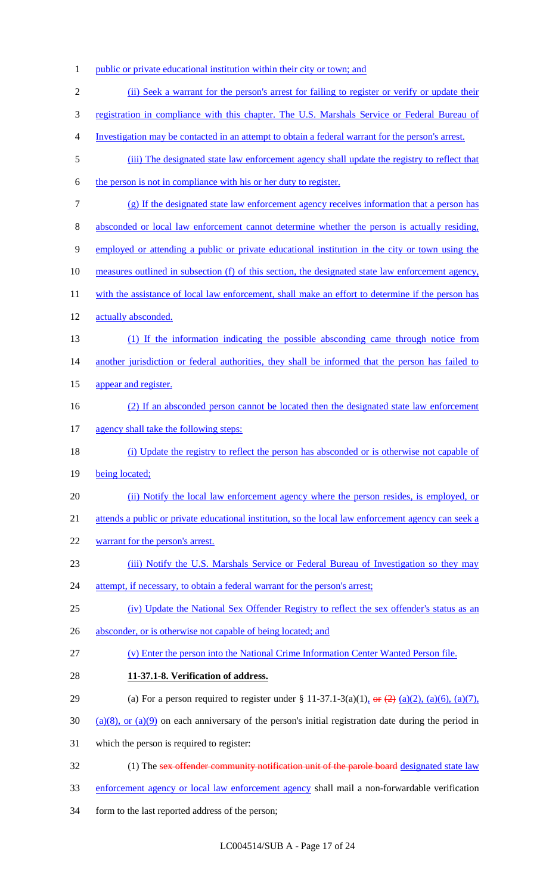public or private educational institution within their city or town; and (ii) Seek a warrant for the person's arrest for failing to register or verify or update their 3 registration in compliance with this chapter. The U.S. Marshals Service or Federal Bureau of Investigation may be contacted in an attempt to obtain a federal warrant for the person's arrest. (iii) The designated state law enforcement agency shall update the registry to reflect that the person is not in compliance with his or her duty to register. (g) If the designated state law enforcement agency receives information that a person has absconded or local law enforcement cannot determine whether the person is actually residing, employed or attending a public or private educational institution in the city or town using the measures outlined in subsection (f) of this section, the designated state law enforcement agency, 11 with the assistance of local law enforcement, shall make an effort to determine if the person has actually absconded. (1) If the information indicating the possible absconding came through notice from 14 another jurisdiction or federal authorities, they shall be informed that the person has failed to appear and register. (2) If an absconded person cannot be located then the designated state law enforcement 17 agency shall take the following steps: (i) Update the registry to reflect the person has absconded or is otherwise not capable of 19 being located; 20 (ii) Notify the local law enforcement agency where the person resides, is employed, or attends a public or private educational institution, so the local law enforcement agency can seek a warrant for the person's arrest. (iii) Notify the U.S. Marshals Service or Federal Bureau of Investigation so they may 24 attempt, if necessary, to obtain a federal warrant for the person's arrest; 25 (iv) Update the National Sex Offender Registry to reflect the sex offender's status as an 26 absconder, or is otherwise not capable of being located; and (v) Enter the person into the National Crime Information Center Wanted Person file. **11-37.1-8. Verification of address.** 29 (a) For a person required to register under § 11-37.1-3(a)(1),  $\Theta$  (2) (a)(2), (a)(6), (a)(7),  $30 \quad (a)(8)$ , or  $(a)(9)$  on each anniversary of the person's initial registration date during the period in which the person is required to register: 32 (1) The sex offender community notification unit of the parole board designated state law enforcement agency or local law enforcement agency shall mail a non-forwardable verification form to the last reported address of the person;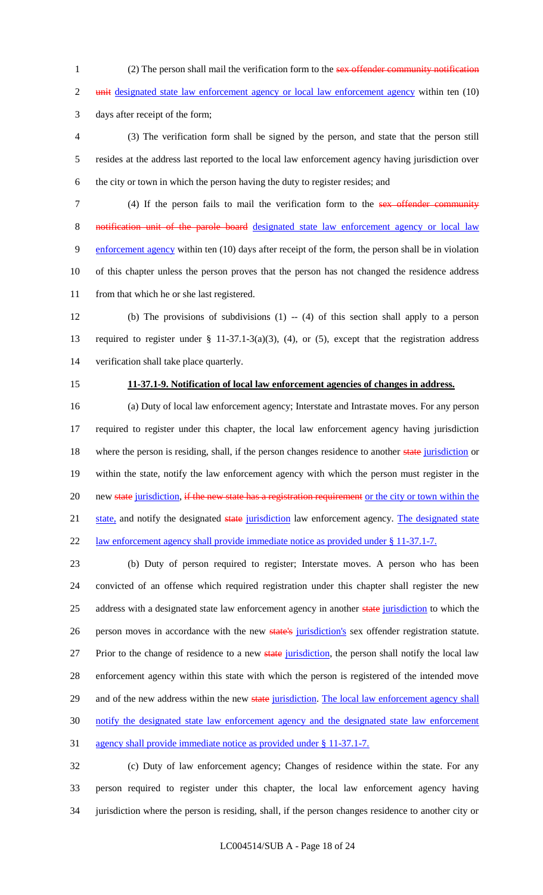1 (2) The person shall mail the verification form to the sex offender community notification

2 unit designated state law enforcement agency or local law enforcement agency within ten (10)

days after receipt of the form;

 (3) The verification form shall be signed by the person, and state that the person still resides at the address last reported to the local law enforcement agency having jurisdiction over the city or town in which the person having the duty to register resides; and

7 (4) If the person fails to mail the verification form to the sex offender community notification unit of the parole board designated state law enforcement agency or local law 9 enforcement agency within ten (10) days after receipt of the form, the person shall be in violation of this chapter unless the person proves that the person has not changed the residence address from that which he or she last registered.

 (b) The provisions of subdivisions (1) -- (4) of this section shall apply to a person required to register under § 11-37.1-3(a)(3), (4), or (5), except that the registration address verification shall take place quarterly.

#### **11-37.1-9. Notification of local law enforcement agencies of changes in address.**

 (a) Duty of local law enforcement agency; Interstate and Intrastate moves. For any person required to register under this chapter, the local law enforcement agency having jurisdiction 18 where the person is residing, shall, if the person changes residence to another state jurisdiction or within the state, notify the law enforcement agency with which the person must register in the 20 new state jurisdiction, if the new state has a registration requirement or the city or town within the 21 state, and notify the designated state jurisdiction law enforcement agency. The designated state 22 law enforcement agency shall provide immediate notice as provided under § 11-37.1-7.

 (b) Duty of person required to register; Interstate moves. A person who has been convicted of an offense which required registration under this chapter shall register the new 25 address with a designated state law enforcement agency in another state jurisdiction to which the 26 person moves in accordance with the new state's jurisdiction's sex offender registration statute. 27 Prior to the change of residence to a new state jurisdiction, the person shall notify the local law enforcement agency within this state with which the person is registered of the intended move 29 and of the new address within the new state jurisdiction. The local law enforcement agency shall notify the designated state law enforcement agency and the designated state law enforcement agency shall provide immediate notice as provided under § 11-37.1-7.

 (c) Duty of law enforcement agency; Changes of residence within the state. For any person required to register under this chapter, the local law enforcement agency having jurisdiction where the person is residing, shall, if the person changes residence to another city or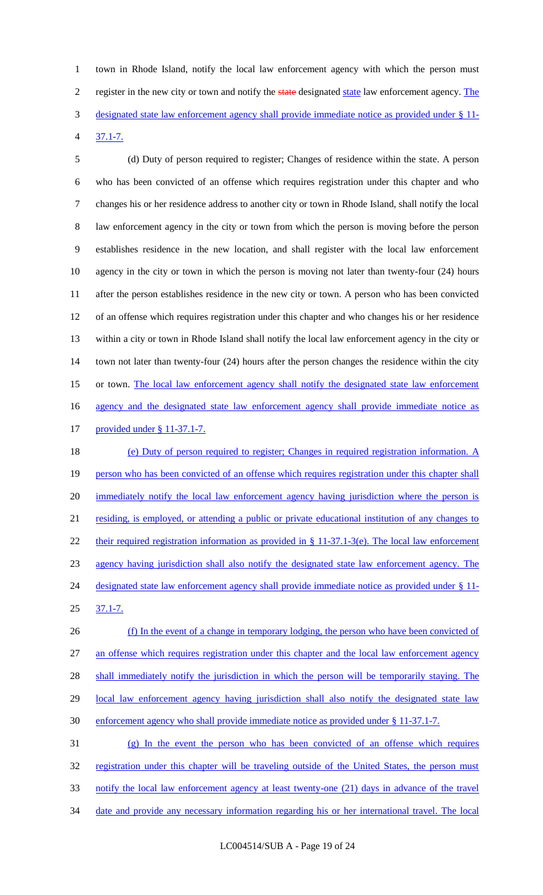1 town in Rhode Island, notify the local law enforcement agency with which the person must 2 register in the new city or town and notify the state designated state law enforcement agency. The 3 designated state law enforcement agency shall provide immediate notice as provided under § 11- 4 37.1-7.

 (d) Duty of person required to register; Changes of residence within the state. A person who has been convicted of an offense which requires registration under this chapter and who changes his or her residence address to another city or town in Rhode Island, shall notify the local law enforcement agency in the city or town from which the person is moving before the person establishes residence in the new location, and shall register with the local law enforcement agency in the city or town in which the person is moving not later than twenty-four (24) hours after the person establishes residence in the new city or town. A person who has been convicted of an offense which requires registration under this chapter and who changes his or her residence within a city or town in Rhode Island shall notify the local law enforcement agency in the city or town not later than twenty-four (24) hours after the person changes the residence within the city 15 or town. The local law enforcement agency shall notify the designated state law enforcement 16 agency and the designated state law enforcement agency shall provide immediate notice as provided under § 11-37.1-7. 18 (e) Duty of person required to register; Changes in required registration information. A

19 person who has been convicted of an offense which requires registration under this chapter shall 20 immediately notify the local law enforcement agency having jurisdiction where the person is 21 residing, is employed, or attending a public or private educational institution of any changes to 22 their required registration information as provided in § 11-37.1-3(e). The local law enforcement 23 agency having jurisdiction shall also notify the designated state law enforcement agency. The 24 designated state law enforcement agency shall provide immediate notice as provided under § 11-25 37.1-7.

26 (f) In the event of a change in temporary lodging, the person who have been convicted of 27 an offense which requires registration under this chapter and the local law enforcement agency 28 shall immediately notify the jurisdiction in which the person will be temporarily staying. The 29 local law enforcement agency having jurisdiction shall also notify the designated state law 30 enforcement agency who shall provide immediate notice as provided under § 11-37.1-7.

31 (g) In the event the person who has been convicted of an offense which requires 32 registration under this chapter will be traveling outside of the United States, the person must 33 notify the local law enforcement agency at least twenty-one (21) days in advance of the travel 34 date and provide any necessary information regarding his or her international travel. The local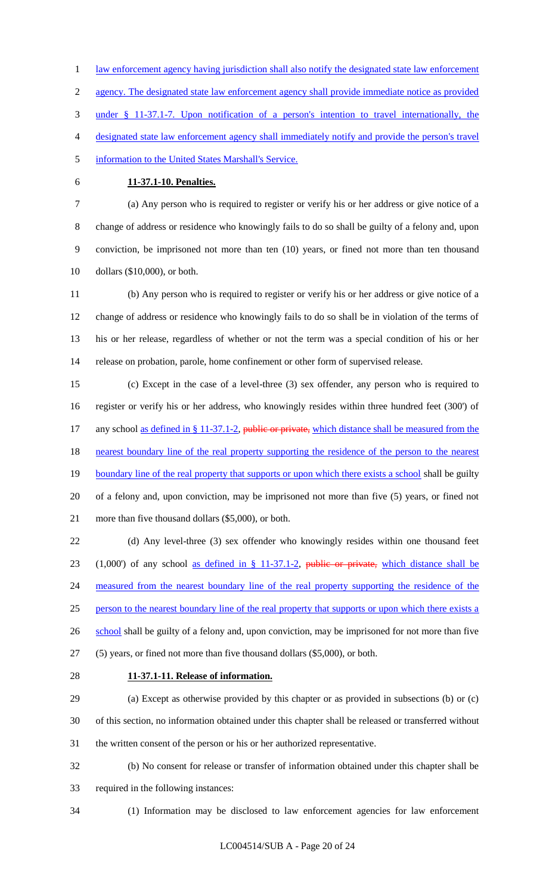law enforcement agency having jurisdiction shall also notify the designated state law enforcement agency. The designated state law enforcement agency shall provide immediate notice as provided

under § 11-37.1-7. Upon notification of a person's intention to travel internationally, the

- designated state law enforcement agency shall immediately notify and provide the person's travel
- information to the United States Marshall's Service.
- 

## **11-37.1-10. Penalties.**

 (a) Any person who is required to register or verify his or her address or give notice of a change of address or residence who knowingly fails to do so shall be guilty of a felony and, upon conviction, be imprisoned not more than ten (10) years, or fined not more than ten thousand dollars (\$10,000), or both.

 (b) Any person who is required to register or verify his or her address or give notice of a change of address or residence who knowingly fails to do so shall be in violation of the terms of his or her release, regardless of whether or not the term was a special condition of his or her release on probation, parole, home confinement or other form of supervised release.

 (c) Except in the case of a level-three (3) sex offender, any person who is required to register or verify his or her address, who knowingly resides within three hundred feet (300') of 17 any school as defined in § 11-37.1-2, public or private, which distance shall be measured from the 18 nearest boundary line of the real property supporting the residence of the person to the nearest 19 boundary line of the real property that supports or upon which there exists a school shall be guilty of a felony and, upon conviction, may be imprisoned not more than five (5) years, or fined not more than five thousand dollars (\$5,000), or both.

 (d) Any level-three (3) sex offender who knowingly resides within one thousand feet 23 (1,000) of any school as defined in  $\S$  11-37.1-2, public or private, which distance shall be 24 measured from the nearest boundary line of the real property supporting the residence of the 25 person to the nearest boundary line of the real property that supports or upon which there exists a 26 school shall be guilty of a felony and, upon conviction, may be imprisoned for not more than five (5) years, or fined not more than five thousand dollars (\$5,000), or both.

#### **11-37.1-11. Release of information.**

 (a) Except as otherwise provided by this chapter or as provided in subsections (b) or (c) of this section, no information obtained under this chapter shall be released or transferred without the written consent of the person or his or her authorized representative.

 (b) No consent for release or transfer of information obtained under this chapter shall be required in the following instances:

(1) Information may be disclosed to law enforcement agencies for law enforcement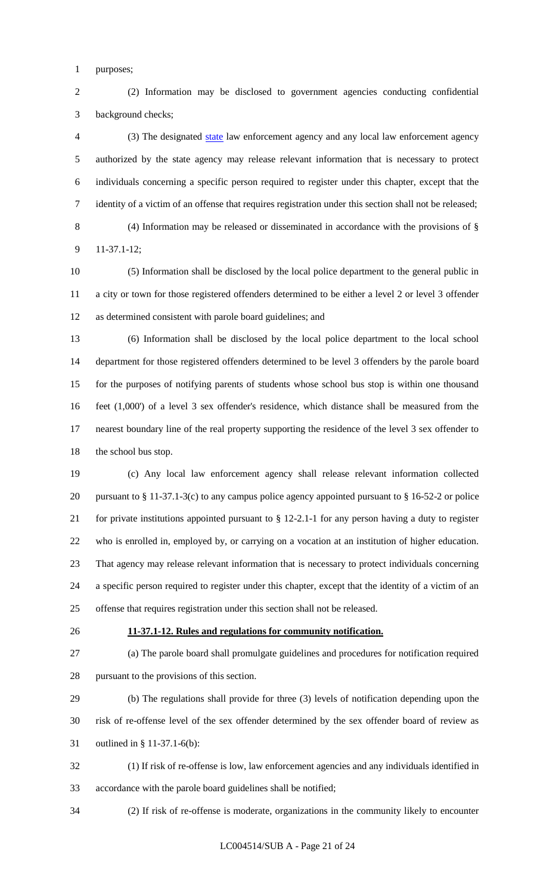purposes;

 (2) Information may be disclosed to government agencies conducting confidential background checks;

 (3) The designated state law enforcement agency and any local law enforcement agency authorized by the state agency may release relevant information that is necessary to protect individuals concerning a specific person required to register under this chapter, except that the identity of a victim of an offense that requires registration under this section shall not be released; (4) Information may be released or disseminated in accordance with the provisions of § 11-37.1-12;

 (5) Information shall be disclosed by the local police department to the general public in a city or town for those registered offenders determined to be either a level 2 or level 3 offender as determined consistent with parole board guidelines; and

 (6) Information shall be disclosed by the local police department to the local school department for those registered offenders determined to be level 3 offenders by the parole board for the purposes of notifying parents of students whose school bus stop is within one thousand feet (1,000') of a level 3 sex offender's residence, which distance shall be measured from the nearest boundary line of the real property supporting the residence of the level 3 sex offender to 18 the school bus stop.

 (c) Any local law enforcement agency shall release relevant information collected 20 pursuant to § 11-37.1-3(c) to any campus police agency appointed pursuant to § 16-52-2 or police for private institutions appointed pursuant to § 12-2.1-1 for any person having a duty to register who is enrolled in, employed by, or carrying on a vocation at an institution of higher education. That agency may release relevant information that is necessary to protect individuals concerning a specific person required to register under this chapter, except that the identity of a victim of an offense that requires registration under this section shall not be released.

#### **11-37.1-12. Rules and regulations for community notification.**

 (a) The parole board shall promulgate guidelines and procedures for notification required pursuant to the provisions of this section.

 (b) The regulations shall provide for three (3) levels of notification depending upon the risk of re-offense level of the sex offender determined by the sex offender board of review as outlined in § 11-37.1-6(b):

 (1) If risk of re-offense is low, law enforcement agencies and any individuals identified in accordance with the parole board guidelines shall be notified;

(2) If risk of re-offense is moderate, organizations in the community likely to encounter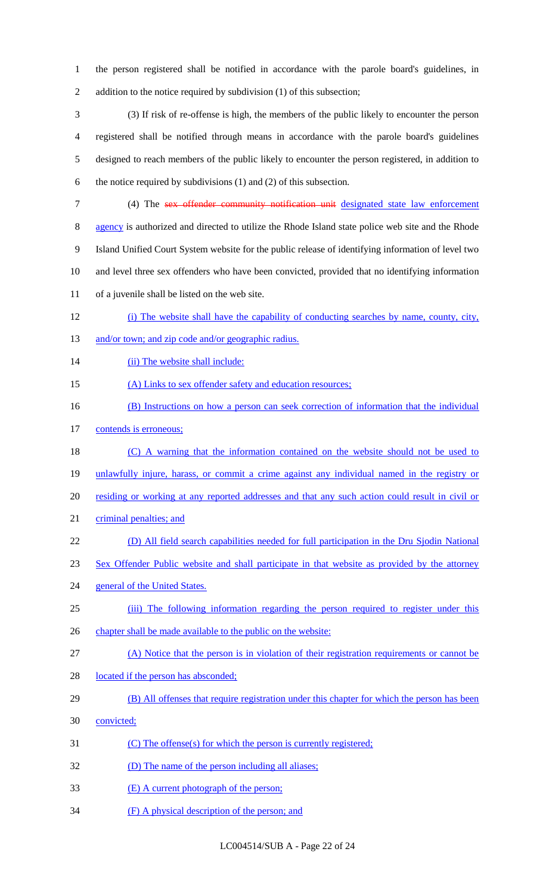1 the person registered shall be notified in accordance with the parole board's guidelines, in 2 addition to the notice required by subdivision (1) of this subsection;

 (3) If risk of re-offense is high, the members of the public likely to encounter the person registered shall be notified through means in accordance with the parole board's guidelines designed to reach members of the public likely to encounter the person registered, in addition to the notice required by subdivisions (1) and (2) of this subsection.

 (4) The sex offender community notification unit designated state law enforcement 8 agency is authorized and directed to utilize the Rhode Island state police web site and the Rhode Island Unified Court System website for the public release of identifying information of level two and level three sex offenders who have been convicted, provided that no identifying information of a juvenile shall be listed on the web site.

- 12 (i) The website shall have the capability of conducting searches by name, county, city,
- 13 and/or town; and zip code and/or geographic radius.
- 14 (ii) The website shall include:
- 15 (A) Links to sex offender safety and education resources;
- 16 (B) Instructions on how a person can seek correction of information that the individual
- 17 contends is erroneous;
- 18 (C) A warning that the information contained on the website should not be used to 19 unlawfully injure, harass, or commit a crime against any individual named in the registry or
- 20 residing or working at any reported addresses and that any such action could result in civil or
- 21 criminal penalties; and
- 22 (D) All field search capabilities needed for full participation in the Dru Sjodin National
- 23 Sex Offender Public website and shall participate in that website as provided by the attorney
- 24 general of the United States.
- 25 (iii) The following information regarding the person required to register under this
- 26 chapter shall be made available to the public on the website:
- 27 (A) Notice that the person is in violation of their registration requirements or cannot be
- 28 located if the person has absconded;
- 29 (B) All offenses that require registration under this chapter for which the person has been
- 30 convicted;
- 31 (C) The offense(s) for which the person is currently registered;
- 32 (D) The name of the person including all aliases;
- 33 (E) A current photograph of the person;
- 34 (F) A physical description of the person; and

LC004514/SUB A - Page 22 of 24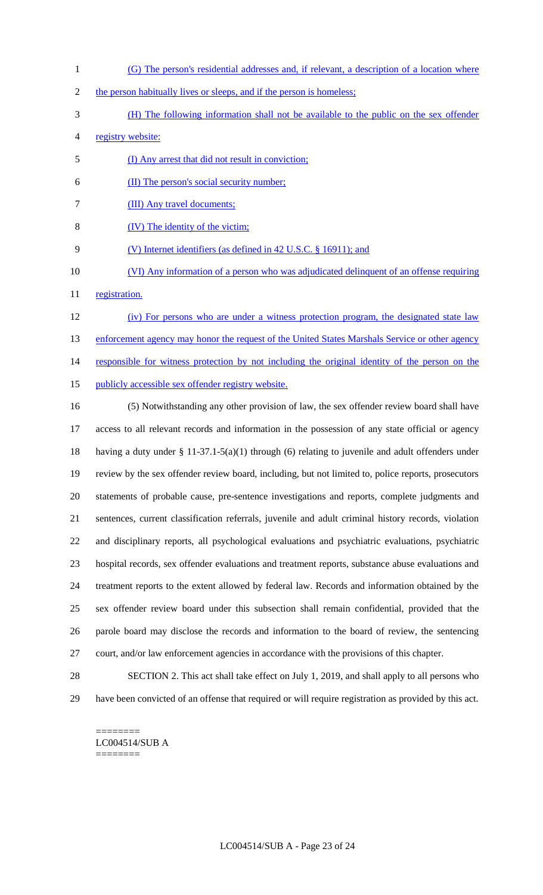- (G) The person's residential addresses and, if relevant, a description of a location where
- 2 the person habitually lives or sleeps, and if the person is homeless;
- (H) The following information shall not be available to the public on the sex offender
- registry website:
- (I) Any arrest that did not result in conviction;
- (II) The person's social security number;
- (III) Any travel documents;
- (IV) The identity of the victim;
- 9 (V) Internet identifiers (as defined in 42 U.S.C. § 16911); and
- 10 (VI) Any information of a person who was adjudicated delinquent of an offense requiring
- 11 registration.
- (iv) For persons who are under a witness protection program, the designated state law 13 enforcement agency may honor the request of the United States Marshals Service or other agency 14 responsible for witness protection by not including the original identity of the person on the 15 publicly accessible sex offender registry website.
- (5) Notwithstanding any other provision of law, the sex offender review board shall have access to all relevant records and information in the possession of any state official or agency having a duty under § 11-37.1-5(a)(1) through (6) relating to juvenile and adult offenders under review by the sex offender review board, including, but not limited to, police reports, prosecutors statements of probable cause, pre-sentence investigations and reports, complete judgments and sentences, current classification referrals, juvenile and adult criminal history records, violation and disciplinary reports, all psychological evaluations and psychiatric evaluations, psychiatric hospital records, sex offender evaluations and treatment reports, substance abuse evaluations and treatment reports to the extent allowed by federal law. Records and information obtained by the sex offender review board under this subsection shall remain confidential, provided that the parole board may disclose the records and information to the board of review, the sentencing court, and/or law enforcement agencies in accordance with the provisions of this chapter.
- 

 SECTION 2. This act shall take effect on July 1, 2019, and shall apply to all persons who have been convicted of an offense that required or will require registration as provided by this act.

======== LC004514/SUB A ========